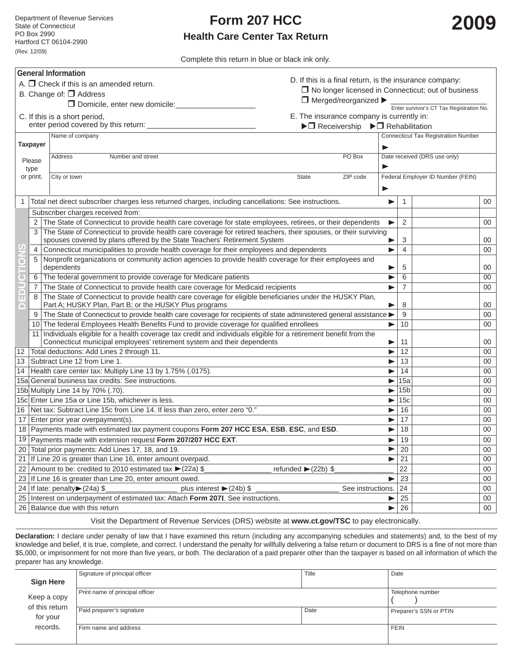## **Form 207 HCC Health Care Center Tax Return**

Complete this return in blue or black ink only.

| <b>General Information</b>                                                                     |                                                                                                                                                                               |                                                                                                                                                                                                         |                                          |                                            |                                                           |        |  |  |  |
|------------------------------------------------------------------------------------------------|-------------------------------------------------------------------------------------------------------------------------------------------------------------------------------|---------------------------------------------------------------------------------------------------------------------------------------------------------------------------------------------------------|------------------------------------------|--------------------------------------------|-----------------------------------------------------------|--------|--|--|--|
|                                                                                                |                                                                                                                                                                               | D. If this is a final return, is the insurance company:<br>A. $\Box$ Check if this is an amended return.                                                                                                |                                          |                                            |                                                           |        |  |  |  |
| B. Change of: $\Box$ Address                                                                   |                                                                                                                                                                               |                                                                                                                                                                                                         |                                          |                                            | $\Box$ No longer licensed in Connecticut; out of business |        |  |  |  |
| $\Box$ Merged/reorganized $\blacktriangleright$<br>Domicile, enter new domicile:               |                                                                                                                                                                               |                                                                                                                                                                                                         |                                          |                                            |                                                           |        |  |  |  |
|                                                                                                |                                                                                                                                                                               |                                                                                                                                                                                                         | Enter survivor's CT Tax Registration No. |                                            |                                                           |        |  |  |  |
|                                                                                                |                                                                                                                                                                               | C. If this is a short period,<br>E. The insurance company is currently in:<br>enter period covered by this return:<br>$\blacktriangleright \Box$ Receivership $\blacktriangleright \Box$ Rehabilitation |                                          |                                            |                                                           |        |  |  |  |
|                                                                                                |                                                                                                                                                                               | Name of company                                                                                                                                                                                         |                                          | <b>Connecticut Tax Registration Number</b> |                                                           |        |  |  |  |
| Taxpayer                                                                                       |                                                                                                                                                                               |                                                                                                                                                                                                         |                                          |                                            |                                                           |        |  |  |  |
|                                                                                                |                                                                                                                                                                               |                                                                                                                                                                                                         | Date received (DRS use only)             |                                            |                                                           |        |  |  |  |
| Please                                                                                         |                                                                                                                                                                               | Number and street<br>PO Box<br>Address                                                                                                                                                                  |                                          |                                            |                                                           |        |  |  |  |
| type                                                                                           |                                                                                                                                                                               |                                                                                                                                                                                                         |                                          |                                            |                                                           |        |  |  |  |
| or print.                                                                                      |                                                                                                                                                                               | City or town<br><b>State</b><br>ZIP code                                                                                                                                                                |                                          |                                            | Federal Employer ID Number (FEIN)                         |        |  |  |  |
|                                                                                                |                                                                                                                                                                               |                                                                                                                                                                                                         | ▶                                        |                                            |                                                           |        |  |  |  |
| 1                                                                                              |                                                                                                                                                                               | Total net direct subscriber charges less returned charges, including cancellations: See instructions.                                                                                                   |                                          | 1                                          |                                                           | 00     |  |  |  |
|                                                                                                |                                                                                                                                                                               | Subscriber charges received from:                                                                                                                                                                       |                                          |                                            |                                                           |        |  |  |  |
|                                                                                                | 2                                                                                                                                                                             | The State of Connecticut to provide health care coverage for state employees, retirees, or their dependents                                                                                             |                                          | 2                                          |                                                           | 00     |  |  |  |
|                                                                                                | 3                                                                                                                                                                             | The State of Connecticut to provide health care coverage for retired teachers, their spouses, or their surviving                                                                                        |                                          |                                            |                                                           |        |  |  |  |
|                                                                                                |                                                                                                                                                                               | spouses covered by plans offered by the State Teachers' Retirement System                                                                                                                               | ▶                                        | 3                                          |                                                           | 00     |  |  |  |
|                                                                                                | 4                                                                                                                                                                             | Connecticut municipalities to provide health coverage for their employees and dependents                                                                                                                | ▶                                        | $\overline{4}$                             |                                                           | 00     |  |  |  |
|                                                                                                | 5 <sup>1</sup>                                                                                                                                                                | Nonprofit organizations or community action agencies to provide health coverage for their employees and                                                                                                 |                                          |                                            |                                                           |        |  |  |  |
|                                                                                                |                                                                                                                                                                               | dependents                                                                                                                                                                                              | ▶                                        | 5                                          |                                                           | 00     |  |  |  |
|                                                                                                | 6                                                                                                                                                                             | The federal government to provide coverage for Medicare patients                                                                                                                                        |                                          | 6                                          |                                                           | 00     |  |  |  |
|                                                                                                | 7                                                                                                                                                                             | The State of Connecticut to provide health care coverage for Medicaid recipients                                                                                                                        | ▶                                        | $\overline{7}$                             |                                                           | 00     |  |  |  |
| $\blacksquare$                                                                                 | The State of Connecticut to provide health care coverage for eligible beneficiaries under the HUSKY Plan,<br>8<br>Part A; HUSKY Plan, Part B; or the HUSKY Plus programs<br>▶ |                                                                                                                                                                                                         |                                          | 8                                          |                                                           | 00     |  |  |  |
|                                                                                                |                                                                                                                                                                               | The State of Connecticut to provide health care coverage for recipients of state administered general assistance                                                                                        |                                          | 9                                          |                                                           | 00     |  |  |  |
|                                                                                                |                                                                                                                                                                               | 10 The federal Employees Health Benefits Fund to provide coverage for qualified enrollees                                                                                                               | ▶                                        | 10                                         |                                                           | 00     |  |  |  |
|                                                                                                |                                                                                                                                                                               | 11 Individuals eligible for a health coverage tax credit and individuals eligible for a retirement benefit from the                                                                                     |                                          |                                            |                                                           |        |  |  |  |
|                                                                                                |                                                                                                                                                                               | Connecticut municipal employees' retirement system and their dependents                                                                                                                                 | ▶                                        | 11                                         |                                                           | 00     |  |  |  |
| 12                                                                                             |                                                                                                                                                                               | Total deductions: Add Lines 2 through 11.                                                                                                                                                               | ▶                                        | 12                                         |                                                           | 00     |  |  |  |
| 13                                                                                             |                                                                                                                                                                               | Subtract Line 12 from Line 1.                                                                                                                                                                           | ▶                                        | 13                                         |                                                           | 00     |  |  |  |
|                                                                                                |                                                                                                                                                                               | 14   Health care center tax: Multiply Line 13 by 1.75% (.0175).                                                                                                                                         | ▶                                        | 14                                         |                                                           | 00     |  |  |  |
|                                                                                                | 15a General business tax credits: See instructions.<br>15a<br>00<br>▶                                                                                                         |                                                                                                                                                                                                         |                                          |                                            |                                                           |        |  |  |  |
|                                                                                                | 15 <sub>b</sub><br>15b Multiply Line 14 by 70% (.70).<br>00<br>▶                                                                                                              |                                                                                                                                                                                                         |                                          |                                            |                                                           |        |  |  |  |
|                                                                                                | 15c Enter Line 15a or Line 15b, whichever is less.<br>15c<br>00<br>▶                                                                                                          |                                                                                                                                                                                                         |                                          |                                            |                                                           |        |  |  |  |
|                                                                                                |                                                                                                                                                                               | 16   Net tax: Subtract Line 15c from Line 14. If less than zero, enter zero "0."                                                                                                                        | ▶                                        | 16                                         |                                                           | 00     |  |  |  |
|                                                                                                | 17 Enter prior year overpayment(s).<br>17<br>▶                                                                                                                                |                                                                                                                                                                                                         |                                          |                                            |                                                           |        |  |  |  |
|                                                                                                | 18 Payments made with estimated tax payment coupons Form 207 HCC ESA, ESB, ESC, and ESD.<br>18<br>00                                                                          |                                                                                                                                                                                                         |                                          |                                            |                                                           |        |  |  |  |
|                                                                                                |                                                                                                                                                                               | 19 Payments made with extension request Form 207/207 HCC EXT.                                                                                                                                           | ▶                                        | 19                                         |                                                           | $00\,$ |  |  |  |
|                                                                                                |                                                                                                                                                                               | 20 Total prior payments: Add Lines 17, 18, and 19.                                                                                                                                                      | ▶                                        | 20                                         |                                                           | 00     |  |  |  |
|                                                                                                |                                                                                                                                                                               | 21 If Line 20 is greater than Line 16, enter amount overpaid.                                                                                                                                           | ▶                                        | 21                                         |                                                           | 00     |  |  |  |
|                                                                                                | 22 Amount to be: credited to 2010 estimated tax $\blacktriangleright$ (22a) \$<br>refunded $>(22b)$ \$<br>22<br>00                                                            |                                                                                                                                                                                                         |                                          |                                            |                                                           |        |  |  |  |
|                                                                                                | 23 If Line 16 is greater than Line 20, enter amount owed.<br>23<br>00<br>▶                                                                                                    |                                                                                                                                                                                                         |                                          |                                            |                                                           |        |  |  |  |
|                                                                                                |                                                                                                                                                                               | 24 If late: penalty $(24a)$ \$<br>plus interest $\blacktriangleright$ (24b) \$<br>See instructions.                                                                                                     |                                          | 24                                         |                                                           | 00     |  |  |  |
|                                                                                                |                                                                                                                                                                               | 25 Interest on underpayment of estimated tax: Attach Form 207I. See instructions.                                                                                                                       | ▶                                        | 25                                         |                                                           | 00     |  |  |  |
|                                                                                                |                                                                                                                                                                               | 26 Balance due with this return                                                                                                                                                                         |                                          | 26                                         |                                                           | 00     |  |  |  |
| Vigit the Department of Devenue Convices (DDC) website at www.et gov/FCC to pay electronically |                                                                                                                                                                               |                                                                                                                                                                                                         |                                          |                                            |                                                           |        |  |  |  |

Visit the Department of Revenue Services (DRS) website at **www.ct.gov/TSC** to pay electronically.

**Declaration:** I declare under penalty of law that I have examined this return (including any accompanying schedules and statements) and, to the best of my knowledge and belief, it is true, complete, and correct. I understand the penalty for willfully delivering a false return or document to DRS is a fine of not more than \$5,000, or imprisonment for not more than five years, or both. The declaration of a paid preparer other than the taxpayer is based on all information of which the preparer has any knowledge.

|                            | Signature of principal officer  | Title            | Date                   |
|----------------------------|---------------------------------|------------------|------------------------|
| <b>Sign Here</b>           |                                 |                  |                        |
| Кеер а сору                | Print name of principal officer | Telephone number |                        |
| of this return<br>for your | Paid preparer's signature       | Date             | Preparer's SSN or PTIN |
| records.                   | Firm name and address           | <b>FEIN</b>      |                        |